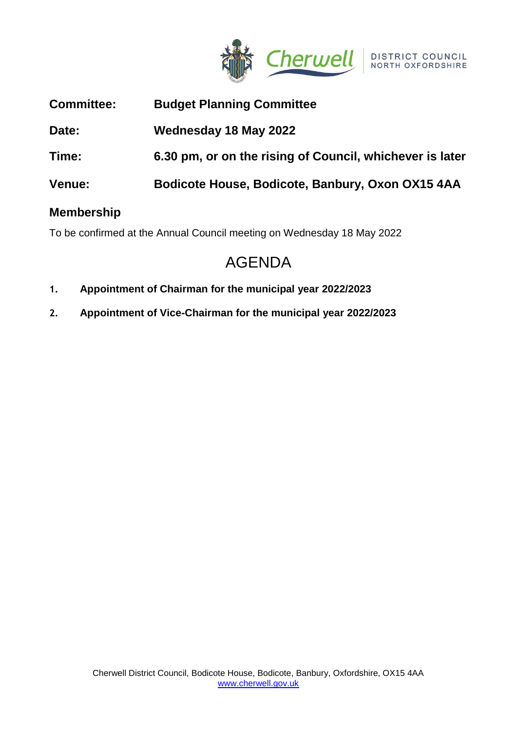

| <b>Committee:</b> | <b>Budget Planning Committee</b>                         |
|-------------------|----------------------------------------------------------|
| Date:             | Wednesday 18 May 2022                                    |
| Time:             | 6.30 pm, or on the rising of Council, whichever is later |
| <b>Venue:</b>     | Bodicote House, Bodicote, Banbury, Oxon OX15 4AA         |
| <b>Membership</b> |                                                          |

To be confirmed at the Annual Council meeting on Wednesday 18 May 2022

# AGENDA

- **1. Appointment of Chairman for the municipal year 2022/2023**
- **2. Appointment of Vice-Chairman for the municipal year 2022/2023**